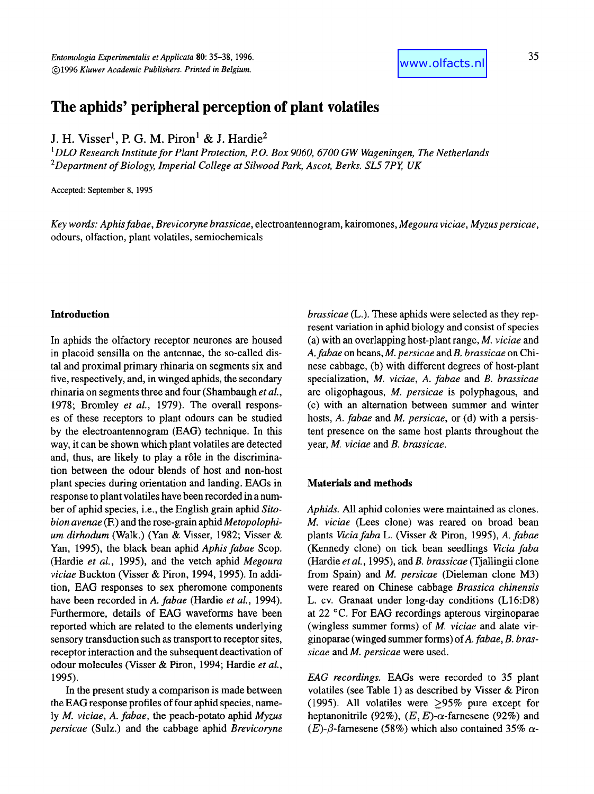35

# **The aphids' peripheral perception of plant volatiles**

J. H. Visser<sup>1</sup>, P. G. M. Piron<sup>1</sup> & J. Hardie<sup>2</sup>

*1DLO Research Institute for Plant Protection, P O. Box 9060, 6700 GW Wageningen, The Netherlands 2Department of Biology, Imperial College at Silwood Park, Ascot, Berks. SL5 7Py UK* 

Accepted: September 8, 1995

*Key words: Aphis fabae, Brevicoryne brassicae,* electroantennogram, kairomones, *Megoura viciae, Myzus persicae,*  odours, olfaction, plant volatiles, semiochemicals

#### **Introduction**

In aphids the olfactory receptor neurones are housed in placoid sensilla on the antennae, the so-called distal and proximal primary rhinaria on segments six and five, respectively, and, in winged aphids, the secondary rhinaria on segments three and four (Shambaugh *et aL,*  1978; Bromley *et al.,* 1979). The overall responses of these receptors to plant odours can be studied by the electroantennogram (EAG) technique. In this way, it can be shown which plant volatiles are detected and, thus, are likely to play a rôle in the discrimination between the odour blends of host and non-host plant species during orientation and landing. EAGs in response to plant volatiles have been recorded in a number of aphid species, i.e., the English grain aphid *Sitobion avenae* (E) and the rose-grain aphid *Metopolophium dirhodum* (Walk.) (Yan & Visser, 1982; Visser & Yan, 1995), the black bean aphid *Aphis fabae* Scop. (Hardie *et al.,* 1995), and the vetch aphid *Megoura viciae* Buckton (Visser & Piron, 1994, 1995). In addition, EAG responses to sex pheromone components have been recorded in *A. fabae* (Hardie *et al.,* 1994). Furthermore, details of EAG waveforms have been reported which are related to the elements underlying sensory transduction such as transport to receptor sites, receptor interaction and the subsequent deactivation of odour molecules (Visser & Piron, 1994; Hardie *et al.,*  1995).

In the present study a comparison is made between the EAG response profiles of four aphid species, namely *M. viciae, A. fabae,* the peach-potato aphid *Myzus persicae* (Sulz.) and the cabbage aphid *Brevicoryne* 

*brassicae* (L.). These aphids were selected as they represent variation in aphid biology and consist of species (a) with an overlapping host-plant range, *M. viciae* and *A. fabae* on beans, *M. persicae* and *B. brassicae* on Chinese cabbage, (b) with different degrees of host-plant specialization, *M. viciae, A. fabae* and *B. brassicae*  are oligophagous, *M. persicae* is polyphagous, and (c) with an alternation between summer and winter hosts, *A. fabae* and *M. persicae,* or (d) with a persistent presence on the same host plants throughout the year, *M. viciae* and *B. brassicae.* 

## **Materials and methods**

*Aphids.* All aphid colonies were maintained as clones. *M. viciae* (Lees clone) was reared on broad bean plants *Viciafaba* L. (Visser & Piron, 1995), *A. fabae*  (Kennedy clone) on tick bean seedlings *Vicia faba*  (Hardie *etal.,* i995), and *B. brassicae* (Tjallingii clone from Spain) and *M. persicae* (Dieleman clone M3) were reared on Chinese cabbage *Brassica chinensis*  L. cv. Granaat under long-day conditions (L16:D8) at 22 °C. For EAG recordings apterous virginoparae (wingless summer forms) of *M. viciae* and alate virginoparae (winged summer forms) ofA. *fabae, B. brassicae and M. persicae* were used.

*EAG recordings.* EAGs were recorded to 35 plant volatiles (see Table 1) as described by Visser & Piron (1995). All volatiles were >95% pure except for heptanonitrile (92%),  $(E, E)$ - $\alpha$ -farnesene (92%) and (E)- $\beta$ -farnesene (58%) which also contained 35%  $\alpha$ -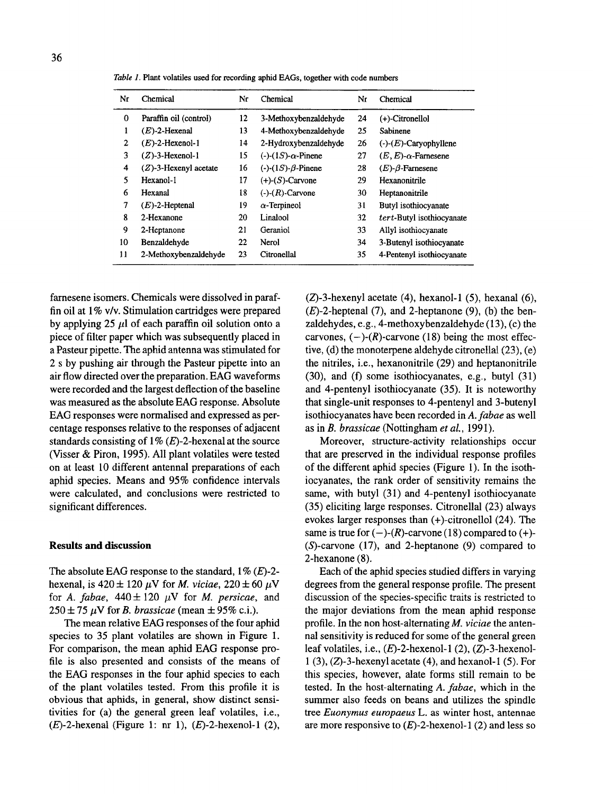| Nr           | Chemical                 | Nr | Chemical                          | Nr | Chemical                       |
|--------------|--------------------------|----|-----------------------------------|----|--------------------------------|
| 0            | Paraffin oil (control)   | 12 | 3-Methoxybenzaldehyde             | 24 | $(+)$ -Citronellol             |
| 1            | $(E)$ -2-Hexenal         | 13 | 4-Methoxybenzaldehyde             | 25 | Sabinene                       |
| $\mathbf{2}$ | $(E)$ -2-Hexenol-1       | 14 | 2-Hydroxybenzaldehyde             | 26 | $(-)$ - $(E)$ -Caryophyllene   |
| 3            | $(Z)$ -3-Hexenol-1       | 15 | $(-)$ - $(1S)$ - $\alpha$ -Pinene | 27 | $(E, E)$ - $\alpha$ -Farnesene |
| 4            | $(Z)$ -3-Hexenyl acetate | 16 | $(-)$ - $(1S)$ - $\beta$ -Pinene  | 28 | $(E)$ - $\beta$ -Farnesene     |
| 5            | Hexanol-1                | 17 | $(+)$ - $(S)$ -Carvone            | 29 | Hexanonitrile                  |
| 6            | Hexanal                  | 18 | $(-)$ - $(R)$ -Carvone            | 30 | Heptanonitrile                 |
| 7            | $(E)$ -2-Heptenal        | 19 | $\alpha$ -Terpineol               | 31 | Butyl isothiocyanate           |
| 8            | 2-Hexanone               | 20 | Linalool                          | 32 | tert-Butyl isothiocyanate      |
| 9            | 2-Heptanone              | 21 | Geraniol                          | 33 | Allyl isothiocyanate           |
| 10           | Benzaldehyde             | 22 | Nerol                             | 34 | 3-Butenyl isothiocyanate       |
| 11           | 2-Methoxybenzaldehyde    | 23 | Citronellal                       | 35 | 4-Pentenyl isothiocyanate      |

*Table 1.* Plant volatiles used for recording aphid EAGs, together with code numbers

farnesene isomers. Chemicals were dissolved in paraffin oil at 1% v/v. Stimulation cartridges were prepared by applying 25  $\mu$ l of each paraffin oil solution onto a piece of filter paper which was subsequently placed in a Pasteur pipette. The aphid antenna was stimulated for 2 s by pushing air through the Pasteur pipette into an air flow directed over the preparation. EAG waveforms were recorded and the largest deflection of the baseline was measured as the absolute EAG response. Absolute EAG responses were normalised and expressed as percentage responses relative to the responses of adjacent standards consisting of  $1\%$  (E)-2-hexenal at the source (Visser & Piron, 1995). All plant volatiles were tested on at least 10 different antennal preparations of each aphid species. Means and 95% confidence intervals were calculated, and conclusions were restricted to significant differences.

### **Results and discussion**

The absolute EAG response to the standard,  $1\%$  (E)-2hexenal, is  $420 \pm 120 \mu$ V for *M. viciae*,  $220 \pm 60 \mu$ V for *A. fabae,*  $440 \pm 120 \mu V$  for *M. persicae*, and  $250 \pm 75$   $\mu$ V for *B. brassicae* (mean  $\pm$  95% c.i.).

The mean relative EAG responses of the four aphid species to 35 plant volatiles are shown in Figure 1. For comparison, the mean aphid EAG response profile is also presented and consists of the means of the EAG responses in the four aphid species to each of the plant volatiles tested. From this profile it is obvious that aphids, in general, show distinct sensitivities for (a) the general green leaf volatiles, i.e.,  $(E)$ -2-hexenal (Figure 1: nr 1),  $(E)$ -2-hexenol-1 (2),  $(Z)$ -3-hexenyl acetate (4), hexanol-1 (5), hexanal (6),  $(E)$ -2-heptenal (7), and 2-heptanone (9), (b) the benzaldehydes, e.g., 4-methoxybenzaldehyde (13), (c) the carvones,  $(-)$ - $(R)$ -carvone (18) being the most effective,  $(d)$  the monoterpene aldehyde citronellal  $(23)$ ,  $(e)$ the nitriles, i.e., hexanonitrile (29) and heptanonitrile (30), and (f) some isothiocyanates, e.g., butyl (31) and 4-pentenyl isothiocyanate (35). It is noteworthy that single-unit responses to 4-pentenyl and 3-butenyl isothiocyanates have been recorded in *A. fabae as* well as in *B. brassicae* (Nottingham *et al.,* 1991).

Moreover, structure-activity relationships occur that are preserved in the individual response profiles of the different aphid species (Figure I). In the isothiocyanates, the rank order of sensitivity remains the same, with butyl (31) and 4-pentenyl isothiocyanate (35) eliciting large responses. Citronellal (23) always evokes larger responses than (+)-citronellol (24). The same is true for  $(-)$ - $(R)$ -carvone (18) compared to  $(+)$ -(S)-carvone (17), and 2-heptanone (9) compared to 2-hexanone (8).

Each of the aphid species studied differs in varying degrees from the general response profile. The present discussion of the species-specific traits is restricted to the major deviations from the mean aphid response profile. In the non host-alternating *M. viciae* the antennal sensitivity is reduced for some of the general green leaf volatiles, i.e.,  $(E)$ -2-hexenol-1 (2),  $(Z)$ -3-hexenol-1 (3), (Z)-3-hexenyl acetate (4), and hexanol-1 (5). For this species, however, alate forms still remain to be tested. In the host-alternating *A. fabae,* which in the summer also feeds on beans and utilizes the spindle tree *Euonymus europaeus* L. as winter host, antennae are more responsive to  $(E)$ -2-hexenol-1 (2) and less so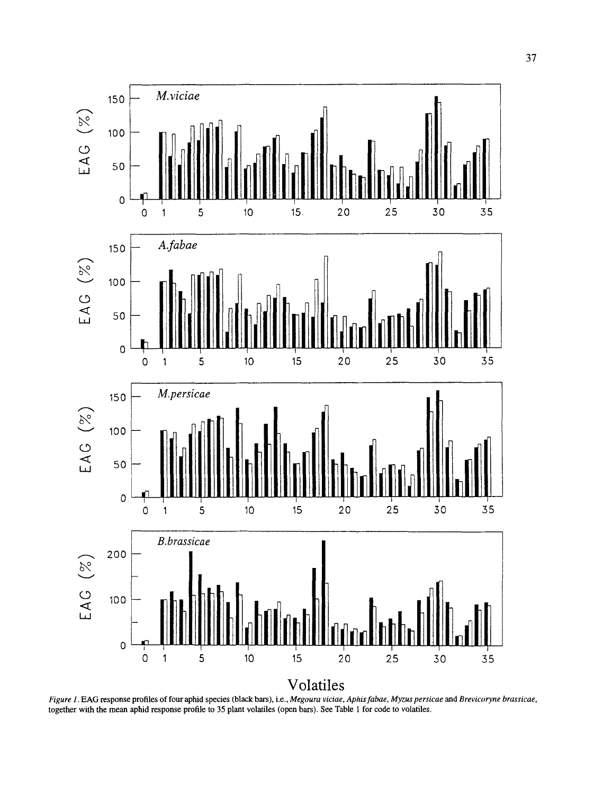

Figure 1. EAG response profiles of four aphid species (black bars), i.e., Megoura viciae, Aphis fabae, Myzus persicae and Brevicoryne brassicae, together with the mean aphid response profile to 35 plant volatiles (open bars). See Table 1 for code to volatiles.